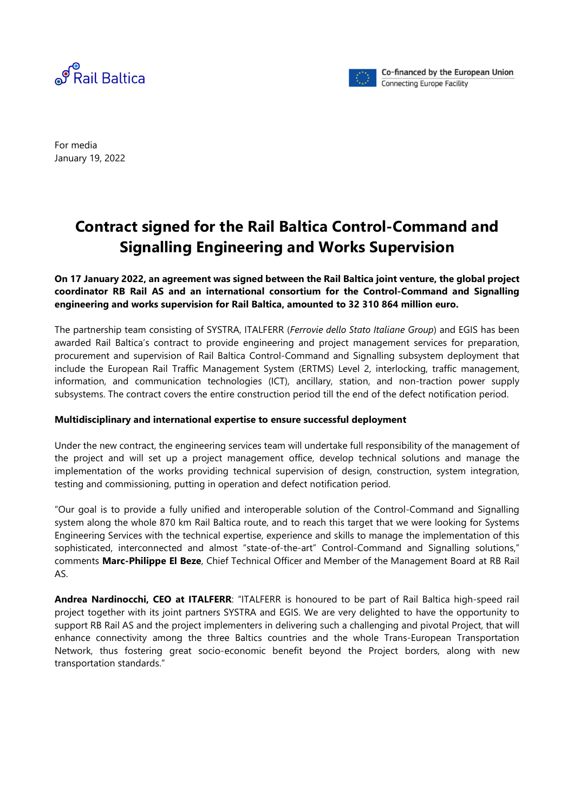



Co-financed by the European Union **Connecting Europe Facility** 

For media January 19, 2022

## **Contract signed for the Rail Baltica Control-Command and Signalling Engineering and Works Supervision**

## **On 17 January 2022, an agreement was signed between the Rail Baltica joint venture, the global project coordinator RB Rail AS and an international consortium for the Control-Command and Signalling engineering and works supervision for Rail Baltica, amounted to 32 310 864 million euro.**

The partnership team consisting of SYSTRA, ITALFERR (*Ferrovie dello Stato Italiane Group*) and EGIS has been awarded Rail Baltica's contract to provide engineering and project management services for preparation, procurement and supervision of Rail Baltica Control-Command and Signalling subsystem deployment that include the European Rail Traffic Management System (ERTMS) Level 2, interlocking, traffic management, information, and communication technologies (ICT), ancillary, station, and non-traction power supply subsystems. The contract covers the entire construction period till the end of the defect notification period.

## **Multidisciplinary and international expertise to ensure successful deployment**

Under the new contract, the engineering services team will undertake full responsibility of the management of the project and will set up a project management office, develop technical solutions and manage the implementation of the works providing technical supervision of design, construction, system integration, testing and commissioning, putting in operation and defect notification period.

"Our goal is to provide a fully unified and interoperable solution of the Control-Command and Signalling system along the whole 870 km Rail Baltica route, and to reach this target that we were looking for Systems Engineering Services with the technical expertise, experience and skills to manage the implementation of this sophisticated, interconnected and almost "state-of-the-art" Control-Command and Signalling solutions," comments **Marc-Philippe El Beze**, Chief Technical Officer and Member of the Management Board at RB Rail AS.

**Andrea Nardinocchi, CEO at ITALFERR**: "ITALFERR is honoured to be part of Rail Baltica high-speed rail project together with its joint partners SYSTRA and EGIS. We are very delighted to have the opportunity to support RB Rail AS and the project implementers in delivering such a challenging and pivotal Project, that will enhance connectivity among the three Baltics countries and the whole Trans-European Transportation Network, thus fostering great socio-economic benefit beyond the Project borders, along with new transportation standards."